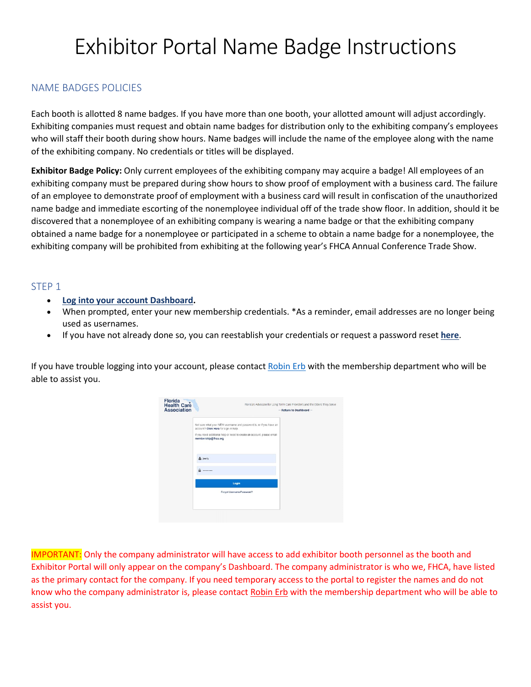# Exhibitor Portal Name Badge Instructions

# NAME BADGES POLICIES

Each booth is allotted 8 name badges. If you have more than one booth, your allotted amount will adjust accordingly. Exhibiting companies must request and obtain name badges for distribution only to the exhibiting company's employees who will staff their booth during show hours. Name badges will include the name of the employee along with the name of the exhibiting company. No credentials or titles will be displayed.

**Exhibitor Badge Policy:** Only current employees of the exhibiting company may acquire a badge! All employees of an exhibiting company must be prepared during show hours to show proof of employment with a business card. The failure of an employee to demonstrate proof of employment with a business card will result in confiscation of the unauthorized name badge and immediate escorting of the nonemployee individual off of the trade show floor. In addition, should it be discovered that a nonemployee of an exhibiting company is wearing a name badge or that the exhibiting company obtained a name badge for a nonemployee or participated in a scheme to obtain a name badge for a nonemployee, the exhibiting company will be prohibited from exhibiting at the following year's FHCA Annual Conference Trade Show.

#### STEP 1

- **[Log into your account Dashboard.](https://linkprotect.cudasvc.com/url?a=http%3a%2f%2fwww.mmsend50.com%2flink.cfm%3fr%3dYWVvaV2gs0pvC2scdw3p-Q%7E%7E%26pe%3dRD_x6LQCXSwPehGF0gtB8hFY0bvFvH5fYeHotjN4PP_PCN7HKoDezfAXzzjBiY9Qtuh6j8zbopgg5x_FVsbHpg%7E%7E%26t%3dJ6HfPCwFcG8Sefsk5UWxig%7E%7E&c=E,1,1OcuIDc9zERy9Va4PTQH7uhjBPQf4PaW9d7YSjHnOzjqme2d0rM6aAzTWYh3k_Hobl2QFfpN3DfU9rgy3pYNXtU7nwmrd0bYIE1eozGgs56cq8Ux7aDIM88,&typo=1)**
- When prompted, enter your new membership credentials. \*As a reminder, email addresses are no longer being used as usernames.
- If you have not already done so, you can reestablish your credentials or request a password reset **[here](https://linkprotect.cudasvc.com/url?a=http%3a%2f%2fwww.mmsend50.com%2flink.cfm%3fr%3dYWVvaV2gs0pvC2scdw3p-Q%7E%7E%26pe%3d0TRhNnZxsTpBMsQEKqS6V9_44NUMSVsM6Qk0FD7RB5K5q7BT-yCRViTqyo7-aKFJxe0TK43bIJYH8uY4YYfK0A%7E%7E%26t%3dJ6HfPCwFcG8Sefsk5UWxig%7E%7E&c=E,1,J8BfghdHK9oYJ6z0E5p3gDcCgP6MavrwgimZNnPPaYJCeeN04jYnMl9e3Q-7wb3Su-fcoIwG5OaLcSmrWTYOdddUJTKYI5RNO1oa3iDf3PwZWuqBr02Cpz_cSw,,&typo=1)**.

If you have trouble logging into your account, please contact [Robin Erb](mailto:rerb@fhca.org) with the membership department who will be able to assist you.

| Florida<br>Health Care<br><b>Association</b> | Florida's Advocate for Long Term Care Providers and the Elders They Serve<br>-- Return to Dashboard --                                                                                                       |  |
|----------------------------------------------|--------------------------------------------------------------------------------------------------------------------------------------------------------------------------------------------------------------|--|
|                                              | Not sure what your NEW username and password is, or if you have an<br>account? Click Here for sign-in help.<br>If you need additional help or need to create an account, please email<br>membership@fhca.org |  |
|                                              | early                                                                                                                                                                                                        |  |
|                                              | <br>Login                                                                                                                                                                                                    |  |
|                                              | Forgot Username/Password?                                                                                                                                                                                    |  |
|                                              |                                                                                                                                                                                                              |  |

IMPORTANT: Only the company administrator will have access to add exhibitor booth personnel as the booth and Exhibitor Portal will only appear on the company's Dashboard. The company administrator is who we, FHCA, have listed as the primary contact for the company. If you need temporary access to the portal to register the names and do not know who the company administrator is, please contact [Robin Erb](mailto:rerb@fhca.org) with the membership department who will be able to assist you.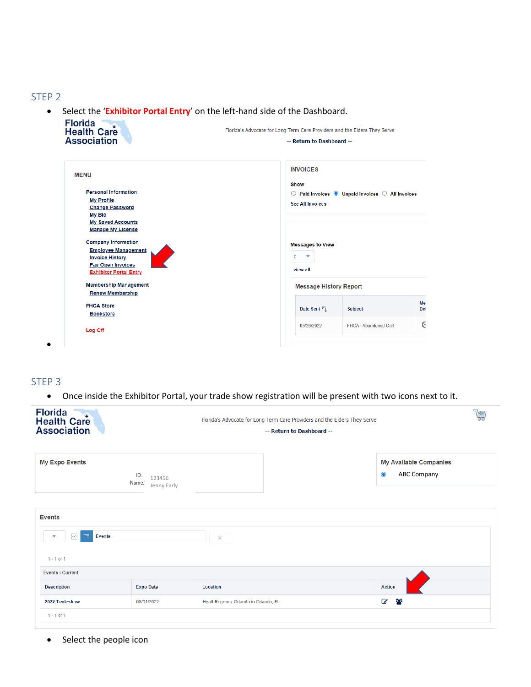#### STEP 2

• Select the '**Exhibitor Portal Entry**' on the left-hand side of the Dashboard.

| Fiorida<br><b>Health Care</b><br><b>Association</b>                                                                                                                                              | Florida's Advocate for Long Term Care Providers and the Elders They Serve<br>-- Return to Dashboard --                                          |
|--------------------------------------------------------------------------------------------------------------------------------------------------------------------------------------------------|-------------------------------------------------------------------------------------------------------------------------------------------------|
| <b>MENU</b><br><b>Personal Information</b><br><b>My Profile</b><br><b>Change Password</b><br>My Bio                                                                                              | <b>INVOICES</b><br><b>Show</b><br>$\circledcirc$ Paid Invoices $\bullet$ Unpaid Invoices $\circledcirc$ All Invoices<br><b>See All Invoices</b> |
| <b>My Saved Accounts</b><br><b>Manage My License</b><br><b>Company Information</b><br><b>Employee Management</b><br><b>Invoice History</b><br>Pay Open Invoices<br><b>Exhibitor Portal Entry</b> | <b>Messages to View</b><br>5<br>$\overline{\mathbf{v}}$<br>view all                                                                             |
| <b>Membership Management</b><br><b>Renew Membership</b>                                                                                                                                          | <b>Message History Report</b>                                                                                                                   |
| <b>FHCA Store</b><br><b>Bookstore</b>                                                                                                                                                            | Me<br>Date Sent $\overline{\mathbb{F}}_{\downarrow}$<br>Subject<br>Det                                                                          |
| Log Off                                                                                                                                                                                          | G<br>05/26/2022<br>FHCA - Abandoned Cart                                                                                                        |

#### STEP 3

• Once inside the Exhibitor Portal, your trade show registration will be present with two icons next to it.

| <b>Florida</b><br><b>Health Care</b><br><b>Association</b>               |                                       | Florida's Advocate for Long Term Care Providers and the Elders They Serve<br>-- Return to Dashboard -- | <b>POST</b>                                                      |
|--------------------------------------------------------------------------|---------------------------------------|--------------------------------------------------------------------------------------------------------|------------------------------------------------------------------|
| <b>My Expo Events</b>                                                    | ID:<br>123456<br>Name:<br>Jenny Early |                                                                                                        | <b>My Available Companies</b><br><b>ABC Company</b><br>$\bullet$ |
| <b>Events</b><br>$\checkmark$<br>乍<br><b>Events</b><br>▼<br>$1 - 1$ of 1 |                                       | $\times$                                                                                               |                                                                  |
| <b>Events: Current</b>                                                   |                                       |                                                                                                        |                                                                  |
| <b>Description</b>                                                       | <b>Expo Date</b>                      | Location                                                                                               | <b>Action</b>                                                    |
| 2022 Tradeshow                                                           | 08/01/2022                            | Hyatt Regency Orlando in Orlando, FL                                                                   | နုန<br>$\overline{a}$                                            |
| $1 - 1$ of 1                                                             |                                       |                                                                                                        |                                                                  |

• Select the people icon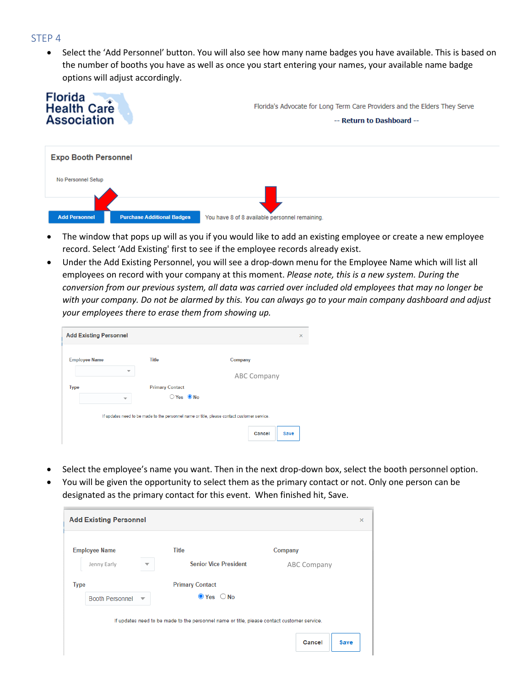#### STEP 4

• Select the 'Add Personnel' button. You will also see how many name badges you have available. This is based on the number of booths you have as well as once you start entering your names, your available name badge options will adjust accordingly.



- The window that pops up will as you if you would like to add an existing employee or create a new employee record. Select 'Add Existing' first to see if the employee records already exist.
- Under the Add Existing Personnel, you will see a drop-down menu for the Employee Name which will list all employees on record with your company at this moment. *Please note, this is a new system. During the conversion from our previous system, all data was carried over included old employees that may no longer be with your company. Do not be alarmed by this. You can always go to your main company dashboard and adjust your employees there to erase them from showing up.*

| <b>Add Existing Personnel</b> |                        | $\times$                                                                                                             |
|-------------------------------|------------------------|----------------------------------------------------------------------------------------------------------------------|
| <b>Employee Name</b>          | <b>Title</b>           | Company                                                                                                              |
| $\overline{\phantom{a}}$      |                        | <b>ABC Company</b>                                                                                                   |
| <b>Type</b>                   | <b>Primary Contact</b> |                                                                                                                      |
| $\overline{\mathbf{v}}$       | $OYes$ ONo             |                                                                                                                      |
|                               |                        | If updates need to be made to the personnel name or title, please contact customer service.<br>Cancel<br><b>Save</b> |

- Select the employee's name you want. Then in the next drop-down box, select the booth personnel option.
- You will be given the opportunity to select them as the primary contact or not. Only one person can be designated as the primary contact for this event. When finished hit, Save.

|             | <b>Add Existing Personnel</b> |                          |                                                                                             |                       | $\times$ |
|-------------|-------------------------------|--------------------------|---------------------------------------------------------------------------------------------|-----------------------|----------|
|             | <b>Employee Name</b>          |                          | Title                                                                                       | Company               |          |
|             | Jenny Early                   | $\overline{\phantom{a}}$ | <b>Senior Vice President</b>                                                                | <b>ABC Company</b>    |          |
| <b>Type</b> |                               |                          | <b>Primary Contact</b>                                                                      |                       |          |
|             | <b>Booth Personnel</b>        | $\overline{\mathbf{v}}$  | $\odot$ Yes $\odot$ No                                                                      |                       |          |
|             |                               |                          | If updates need to be made to the personnel name or title, please contact customer service. | Cancel<br><b>Save</b> |          |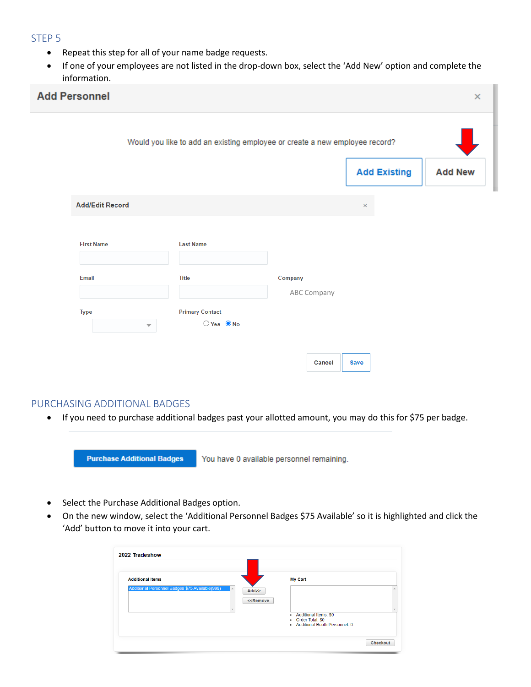#### STEP 5

- Repeat this step for all of your name badge requests.
- If one of your employees are not listed in the drop-down box, select the 'Add New' option and complete the information.

| <b>Add Personnel</b>                   |                                                                             |                        |             |                     | $\times$       |
|----------------------------------------|-----------------------------------------------------------------------------|------------------------|-------------|---------------------|----------------|
|                                        | Would you like to add an existing employee or create a new employee record? |                        |             |                     |                |
|                                        |                                                                             |                        |             | <b>Add Existing</b> | <b>Add New</b> |
| <b>Add/Edit Record</b>                 |                                                                             |                        | $\times$    |                     |                |
| <b>First Name</b>                      | <b>Last Name</b>                                                            |                        |             |                     |                |
| Email                                  | <b>Title</b>                                                                | Company<br>ABC Company |             |                     |                |
| <b>Type</b><br>$\overline{\mathbf{v}}$ | <b>Primary Contact</b><br>$OYes$ ONo                                        |                        |             |                     |                |
|                                        |                                                                             | Cancel                 | <b>Save</b> |                     |                |

## PURCHASING ADDITIONAL BADGES

• If you need to purchase additional badges past your allotted amount, you may do this for \$75 per badge.

**Purchase Additional Badges** You have 0 available personnel remaining.

- Select the Purchase Additional Badges option.
- On the new window, select the 'Additional Personnel Badges \$75 Available' so it is highlighted and click the 'Add' button to move it into your cart.

| <b>Additional Items</b>                                          | <b>My Cart</b>                                                                                                       |
|------------------------------------------------------------------|----------------------------------------------------------------------------------------------------------------------|
| Additional Personnel Badges \$75 Available(999)<br>$\mathcal{A}$ | Add<br>< <remove<br>Additional Items: \$0<br/>Order Total: \$0<br/>٠<br/>• Additional Booth Personnel: 0</remove<br> |